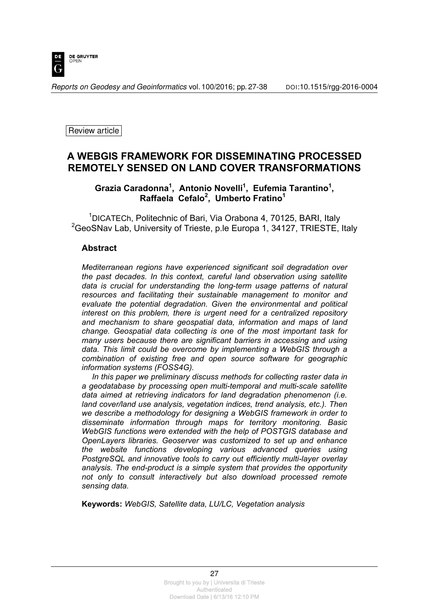

*Reports on Geodesy and Geoinformatics* vol. 100/2016; pp. 27-38 DOI[:10.1515/rgg-2016-0004](http://dx.doi.org/10.1515/rgg-2016-0004)

Review article

# **A WEBGIS FRAMEWORK FOR DISSEMINATING PROCESSED REMOTELY SENSED ON LAND COVER TRANSFORMATIONS**

## Grazia Caradonna<sup>1</sup>, Antonio Novelli<sup>1</sup>, Eufemia Tarantino<sup>1</sup>, **Raffaela Cefalo<sup>2</sup> , Umberto Fratino<sup>1</sup>**

<sup>1</sup>DICATECh, Politechnic of Bari, Via Orabona 4, 70125, BARI, Italy <sup>2</sup>GeoSNav Lab, University of Trieste, p.le Europa 1, 34127, TRIESTE, Italy

#### **Abstract**

*Mediterranean regions have experienced significant soil degradation over the past decades. In this context, careful land observation using satellite data is crucial for understanding the long-term usage patterns of natural resources and facilitating their sustainable management to monitor and evaluate the potential degradation. Given the environmental and political interest on this problem, there is urgent need for a centralized repository and mechanism to share geospatial data, information and maps of land change. Geospatial data collecting is one of the most important task for many users because there are significant barriers in accessing and using data. This limit could be overcome by implementing a WebGIS through a combination of existing free and open source software for geographic information systems (FOSS4G).* 

*In this paper we preliminary discuss methods for collecting raster data in a geodatabase by processing open multi-temporal and multi-scale satellite data aimed at retrieving indicators for land degradation phenomenon (i.e. land cover/land use analysis, vegetation indices, trend analysis, etc.). Then we describe a methodology for designing a WebGIS framework in order to disseminate information through maps for territory monitoring. Basic WebGIS functions were extended with the help of POSTGIS database and OpenLayers libraries. Geoserver was customized to set up and enhance the website functions developing various advanced queries using PostgreSQL and innovative tools to carry out efficiently multi-layer overlay analysis. The end-product is a simple system that provides the opportunity not only to consult interactively but also download processed remote sensing data.* 

**Keywords:** *WebGIS, Satellite data, LU/LC, Vegetation analysis*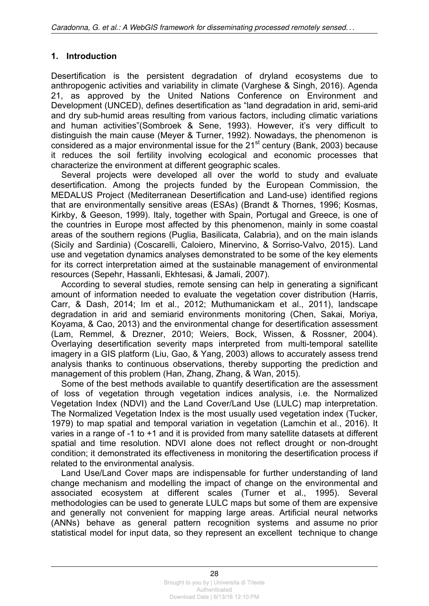### **1. Introduction**

Desertification is the persistent degradation of dryland ecosystems due to anthropogenic activities and variability in climate (Varghese & Singh, 2016). Agenda 21, as approved by the United Nations Conference on Environment and Development (UNCED), defines desertification as "land degradation in arid, semi-arid and dry sub-humid areas resulting from various factors, including climatic variations and human activities"(Sombroek & Sene, 1993). However, it's very difficult to distinguish the main cause (Meyer & Turner, 1992). Nowadays, the phenomenon is considered as a major environmental issue for the  $21<sup>st</sup>$  century (Bank, 2003) because it reduces the soil fertility involving ecological and economic processes that characterize the environment at different geographic scales.

Several projects were developed all over the world to study and evaluate desertification. Among the projects funded by the European Commission, the MEDALUS Project (Mediterranean Desertification and Land-use) identified regions that are environmentally sensitive areas (ESAs) (Brandt & Thornes, 1996; Kosmas, Kirkby, & Geeson, 1999). Italy, together with Spain, Portugal and Greece, is one of the countries in Europe most affected by this phenomenon, mainly in some coastal areas of the southern regions (Puglia, Basilicata, Calabria), and on the main islands (Sicily and Sardinia) (Coscarelli, Caloiero, Minervino, & Sorriso-Valvo, 2015). Land use and vegetation dynamics analyses demonstrated to be some of the key elements for its correct interpretation aimed at the sustainable management of environmental resources (Sepehr, Hassanli, Ekhtesasi, & Jamali, 2007).

According to several studies, remote sensing can help in generating a significant amount of information needed to evaluate the vegetation cover distribution (Harris, Carr, & Dash, 2014; Im et al., 2012; Muthumanickam et al., 2011), landscape degradation in arid and semiarid environments monitoring (Chen, Sakai, Moriya, Koyama, & Cao, 2013) and the environmental change for desertification assessment (Lam, Remmel, & Drezner, 2010; Weiers, Bock, Wissen, & Rossner, 2004). Overlaying desertification severity maps interpreted from multi-temporal satellite imagery in a GIS platform (Liu, Gao, & Yang, 2003) allows to accurately assess trend analysis thanks to continuous observations, thereby supporting the prediction and management of this problem (Han, Zhang, Zhang, & Wan, 2015).

Some of the best methods available to quantify desertification are the assessment of loss of vegetation through vegetation indices analysis, i.e. the Normalized Vegetation Index (NDVI) and the Land Cover/Land Use (LULC) map interpretation. The Normalized Vegetation Index is the most usually used vegetation index (Tucker, 1979) to map spatial and temporal variation in vegetation (Lamchin et al., 2016). It varies in a range of -1 to +1 and it is provided from many satellite datasets at different spatial and time resolution. NDVI alone does not reflect drought or non-drought condition; it demonstrated its effectiveness in monitoring the desertification process if related to the environmental analysis.

Land Use/Land Cover maps are indispensable for further understanding of land change mechanism and modelling the impact of change on the environmental and associated ecosystem at different scales (Turner et al., 1995). Several methodologies can be used to generate LULC maps but some of them are expensive and generally not convenient for mapping large areas. Artificial neural networks (ANNs) behave as general pattern recognition systems and assume no prior statistical model for input data, so they represent an excellent technique to change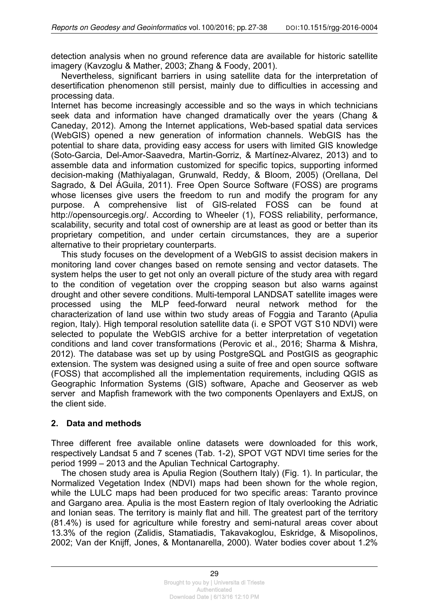detection analysis when no ground reference data are available for historic satellite imagery (Kavzoglu & Mather, 2003; Zhang & Foody, 2001).

Nevertheless, significant barriers in using satellite data for the interpretation of desertification phenomenon still persist, mainly due to difficulties in accessing and processing data.

Internet has become increasingly accessible and so the ways in which technicians seek data and information have changed dramatically over the years (Chang & Caneday, 2012). Among the Internet applications, Web-based spatial data services (WebGIS) opened a new generation of information channels. WebGIS has the potential to share data, providing easy access for users with limited GIS knowledge (Soto-Garcia, Del-Amor-Saavedra, Martin-Gorriz, & Martínez-Alvarez, 2013) and to assemble data and information customized for specific topics, supporting informed decision-making (Mathiyalagan, Grunwald, Reddy, & Bloom, 2005) (Orellana, Del Sagrado, & Del ÁGuila, 2011). Free Open Source Software (FOSS) are programs whose licenses give users the freedom to run and modify the program for any purpose. A comprehensive list of GIS-related FOSS can be found at http://opensourcegis.org/. According to Wheeler (1), FOSS reliability, performance, scalability, security and total cost of ownership are at least as good or better than its proprietary competition, and under certain circumstances, they are a superior alternative to their proprietary counterparts.

This study focuses on the development of a WebGIS to assist decision makers in monitoring land cover changes based on remote sensing and vector datasets. The system helps the user to get not only an overall picture of the study area with regard to the condition of vegetation over the cropping season but also warns against drought and other severe conditions. Multi-temporal LANDSAT satellite images were processed using the MLP feed-forward neural network method for the characterization of land use within two study areas of Foggia and Taranto (Apulia region, Italy). High temporal resolution satellite data (i. e SPOT VGT S10 NDVI) were selected to populate the WebGIS archive for a better interpretation of vegetation conditions and land cover transformations (Perovic et al., 2016; Sharma & Mishra, 2012). The database was set up by using PostgreSQL and PostGIS as geographic extension. The system was designed using a suite of free and open source software (FOSS) that accomplished all the implementation requirements, including QGIS as Geographic Information Systems (GIS) software, Apache and Geoserver as web server and Mapfish framework with the two components Openlayers and ExtJS, on the client side.

## **2. Data and methods**

Three different free available online datasets were downloaded for this work, respectively Landsat 5 and 7 scenes (Tab. 1-2), SPOT VGT NDVI time series for the period 1999 – 2013 and the Apulian Technical Cartography.

The chosen study area is Apulia Region (Southern Italy) (Fig. 1). In particular, the Normalized Vegetation Index (NDVI) maps had been shown for the whole region, while the LULC maps had been produced for two specific areas: Taranto province and Gargano area. Apulia is the most Eastern region of Italy overlooking the Adriatic and Ionian seas. The territory is mainly flat and hill. The greatest part of the territory (81.4%) is used for agriculture while forestry and semi-natural areas cover about 13.3% of the region (Zalidis, Stamatiadis, Takavakoglou, Eskridge, & Misopolinos, 2002; Van der Knijff, Jones, & Montanarella, 2000). Water bodies cover about 1.2%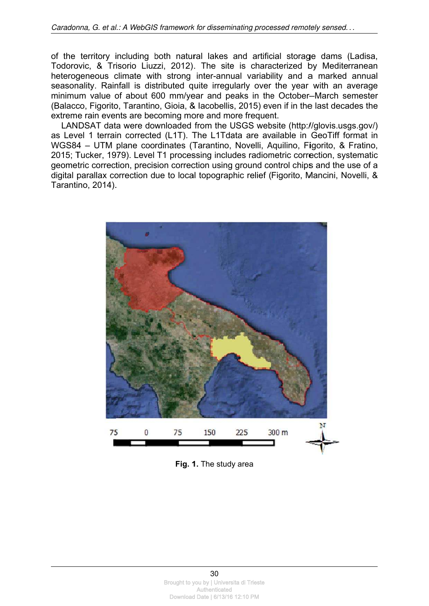of the territory including both natural lakes and artificial storage dams (Ladisa, Todorovic, & Trisorio Liuzzi, 2012). The site is characterized by Mediterranean heterogeneous climate with strong inter-annual variability and a marked annual seasonality. Rainfall is distributed quite irregularly over the year with an average minimum value of about 600 mm/year and peaks in the October-March semester (Balacco, Figorito, Tarantino, Gioia, & Iacobellis, 2015) even if in the last decades the extreme rain events are becoming more and more frequent.

LANDSAT data were downloaded from the USGS website (http://glovis.usgs.gov/) as Level 1 terrain corrected (L1T). The L1Tdata are available in GeoTiff format in WGS84 - UTM plane coordinates (Tarantino, Novelli, Aquilino, Figorito, & Fratino, 2015: Tucker, 1979). Level T1 processing includes radiometric correction, systematic geometric correction, precision correction using ground control chips and the use of a digital parallax correction due to local topographic relief (Figorito, Mancini, Novelli, & Tarantino, 2014).



Fig. 1. The study area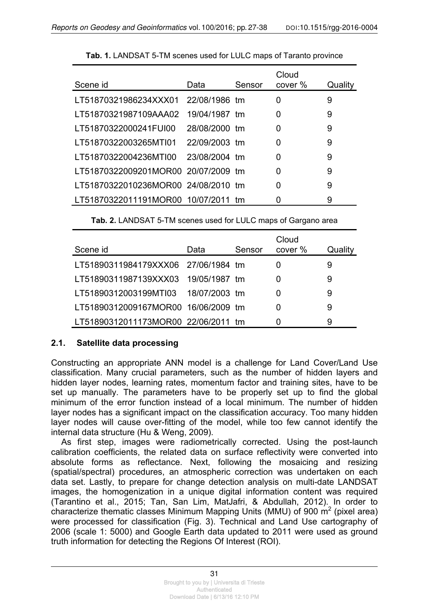| Scene id                            | Data          | Sensor | Cloud<br>cover % | Quality |
|-------------------------------------|---------------|--------|------------------|---------|
| LT51870321986234XXX01 22/08/1986 tm |               |        | 0                | 9       |
| LT51870321987109AAA02               | 19/04/1987 tm |        | 0                | 9       |
| LT51870322000241FUI00               | 28/08/2000 tm |        | 0                | 9       |
| LT51870322003265MTI01 22/09/2003 tm |               |        | 0                | 9       |
| LT51870322004236MTI00 23/08/2004 tm |               |        | 0                | 9       |
| LT51870322009201MOR00 20/07/2009 tm |               |        | 0                | 9       |
| LT51870322010236MOR00 24/08/2010 tm |               |        | 0                | 9       |
| LT51870322011191MOR00 10/07/2011 tm |               |        |                  | 9       |

|  | Tab. 2. LANDSAT 5-TM scenes used for LULC maps of Gargano area |  |  |  |  |
|--|----------------------------------------------------------------|--|--|--|--|
|--|----------------------------------------------------------------|--|--|--|--|

| Scene id                            | Data | Sensor | Cloud<br>cover % | Quality |
|-------------------------------------|------|--------|------------------|---------|
| LT51890311984179XXX06 27/06/1984 tm |      |        |                  | 9       |
| LT51890311987139XXX03 19/05/1987 tm |      |        |                  | 9       |
| LT51890312003199MTI03 18/07/2003 tm |      |        |                  | 9       |
| LT51890312009167MOR00 16/06/2009 tm |      |        |                  | 9       |
| LT51890312011173MOR00 22/06/2011 tm |      |        |                  | 9       |

#### **2.1. Satellite data processing**

Constructing an appropriate ANN model is a challenge for Land Cover/Land Use classification. Many crucial parameters, such as the number of hidden layers and hidden layer nodes, learning rates, momentum factor and training sites, have to be set up manually. The parameters have to be properly set up to find the global minimum of the error function instead of a local minimum. The number of hidden layer nodes has a significant impact on the classification accuracy. Too many hidden layer nodes will cause over-fitting of the model, while too few cannot identify the internal data structure (Hu & Weng, 2009).

As first step, images were radiometrically corrected. Using the post-launch calibration coefficients, the related data on surface reflectivity were converted into absolute forms as reflectance. Next, following the mosaicing and resizing (spatial/spectral) procedures, an atmospheric correction was undertaken on each data set. Lastly, to prepare for change detection analysis on multi-date LANDSAT images, the homogenization in a unique digital information content was required (Tarantino et al., 2015; Tan, San Lim, MatJafri, & Abdullah, 2012). In order to characterize thematic classes Minimum Mapping Units (MMU) of 900  $m^2$  (pixel area) were processed for classification (Fig. 3). Technical and Land Use cartography of 2006 (scale 1: 5000) and Google Earth data updated to 2011 were used as ground truth information for detecting the Regions Of Interest (ROI).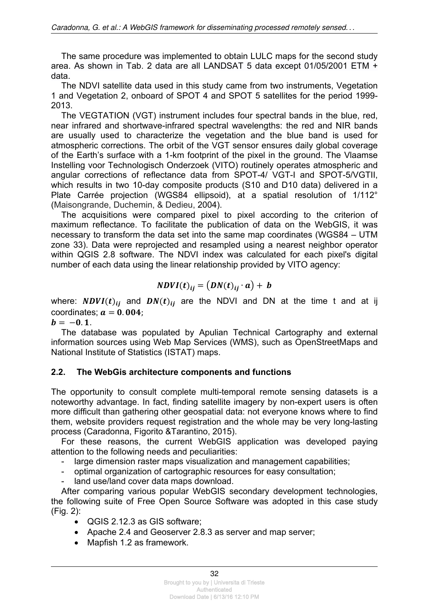The same procedure was implemented to obtain LULC maps for the second study area. As shown in Tab. 2 data are all LANDSAT 5 data except 01/05/2001 ETM + data.

The NDVI satellite data used in this study came from two instruments, Vegetation 1 and Vegetation 2, onboard of SPOT 4 and SPOT 5 satellites for the period 1999- 2013.

The VEGTATION (VGT) instrument includes four spectral bands in the blue, red, near infrared and shortwave-infrared spectral wavelengths: the red and NIR bands are usually used to characterize the vegetation and the blue band is used for atmospheric corrections. The orbit of the VGT sensor ensures daily global coverage of the Earth's surface with a 1-km footprint of the pixel in the ground. The Vlaamse Instelling voor Technologisch Onderzoek (VITO) routinely operates atmospheric and angular corrections of reflectance data from SPOT-4/ VGT-I and SPOT-5/VGTII, which results in two 10-day composite products (S10 and D10 data) delivered in a Plate Carrée projection (WGS84 ellipsoid), at a spatial resolution of 1/112° (Maisongrande, Duchemin, & Dedieu, 2004).

The acquisitions were compared pixel to pixel according to the criterion of maximum reflectance. To facilitate the publication of data on the WebGIS, it was necessary to transform the data set into the same map coordinates (WGS84 – UTM zone 33). Data were reprojected and resampled using a nearest neighbor operator within QGIS 2.8 software. The NDVI index was calculated for each pixel's digital number of each data using the linear relationship provided by VITO agency:

$$
NDVI(t)_{ij} = (DN(t)_{ij} \cdot a) + b
$$

where:  $NDVI(t)_{ij}$  and  $DN(t)_{ij}$  are the NDVI and DN at the time t and at ij coordinates;  $a = 0.004$ ;

 $b = -0.1$ .

The database was populated by Apulian Technical Cartography and external information sources using Web Map Services (WMS), such as OpenStreetMaps and National Institute of Statistics (ISTAT) maps.

## **2.2. The WebGis architecture components and functions**

The opportunity to consult complete multi-temporal remote sensing datasets is a noteworthy advantage. In fact, finding satellite imagery by non-expert users is often more difficult than gathering other geospatial data: not everyone knows where to find them, website providers request registration and the whole may be very long-lasting process (Caradonna, Figorito &Tarantino, 2015).

For these reasons, the current WebGIS application was developed paying attention to the following needs and peculiarities:

- large dimension raster maps visualization and management capabilities;
- optimal organization of cartographic resources for easy consultation;
- land use/land cover data maps download.

After comparing various popular WebGIS secondary development technologies, the following suite of Free Open Source Software was adopted in this case study (Fig. 2):

- QGIS 2.12.3 as GIS software;
- Apache 2.4 and Geoserver 2.8.3 as server and map server;
- Mapfish 1.2 as framework.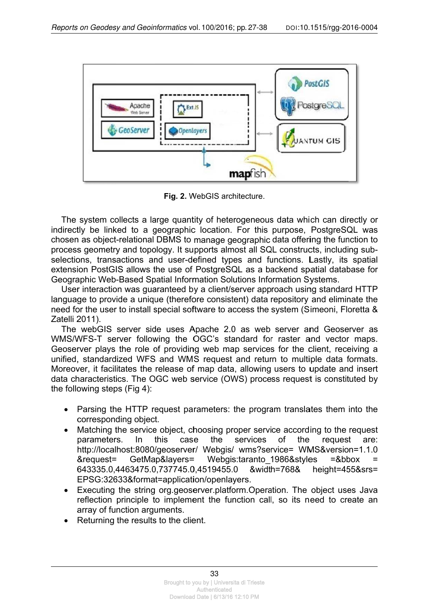

Fig. 2. WebGIS architecture.

The system collects a large quantity of heterogeneous data which can directly or indirectly be linked to a geographic location. For this purpose, PostgreSQL was chosen as object-relational DBMS to manage geographic data offering the function to process geometry and topology. It supports almost all SQL constructs, including subselections, transactions and user-defined types and functions. Lastly, its spatial extension PostGIS allows the use of PostgreSQL as a backend spatial database for Geographic Web-Based Spatial Information Solutions Information Systems.

User interaction was guaranteed by a client/server approach using standard HTTP language to provide a unique (therefore consistent) data repository and eliminate the need for the user to install special software to access the system (Simeoni, Floretta & Zatelli 2011).

The webGIS server side uses Apache 2.0 as web server and Geoserver as WMS/WFS-T server following the OGC's standard for raster and vector maps. Geoserver plays the role of providing web map services for the client, receiving a unified, standardized WFS and WMS request and return to multiple data formats. Moreover, it facilitates the release of map data, allowing users to update and insert data characteristics. The OGC web service (OWS) process request is constituted by the following steps (Fig 4):

- Parsing the HTTP request parameters: the program translates them into the  $\bullet$ corresponding object.
- Matching the service object, choosing proper service according to the request  $\bullet$ parameters.  $\ln$ this case the services  $of$ the request are: http://localhost:8080/geoserver/ Webgis/ wms?service= WMS&version=1.1.0 &request= GetMap&layers= Webgis:taranto\_1986&styles  $= 8$ bbox 643335.0.4463475.0.737745.0.4519455.0 &width=768& height=455&srs= EPSG:32633&format=application/openlayers.
- Executing the string org.geoserver.platform.Operation. The object uses Java  $\bullet$ reflection principle to implement the function call, so its need to create an array of function arguments.
- Returning the results to the client.  $\bullet$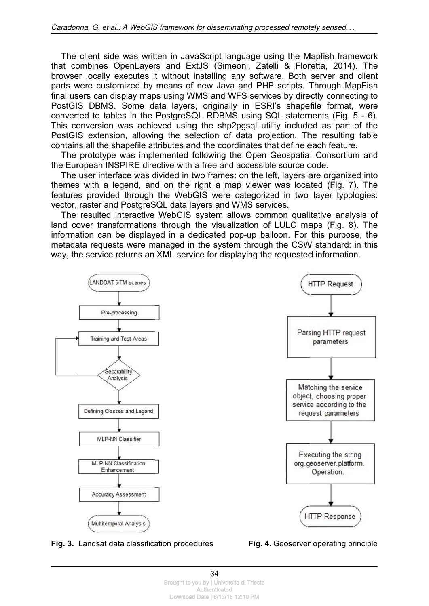The client side was written in JavaScript language using the Mapfish framework that combines OpenLayers and ExtJS (Simeoni, Zatelli & Floretta, 2014). The browser locally executes it without installing any software. Both server and client parts were customized by means of new Java and PHP scripts. Through MapFish final users can display maps using WMS and WFS services by directly connecting to PostGIS DBMS. Some data layers, originally in ESRI's shapefile format, were converted to tables in the PostgreSQL RDBMS using SQL statements (Fig. 5 - 6). This conversion was achieved using the shp2pgsql utility included as part of the PostGIS extension, allowing the selection of data projection. The resulting table contains all the shapefile attributes and the coordinates that define each feature.

The prototype was implemented following the Open Geospatial Consortium and the European INSPIRE directive with a free and accessible source code.

The user interface was divided in two frames: on the left, layers are organized into themes with a legend, and on the right a map viewer was located (Fig. 7). The features provided through the WebGIS were categorized in two layer typologies: vector, raster and PostgreSQL data layers and WMS services.

The resulted interactive WebGIS system allows common qualitative analysis of land cover transformations through the visualization of LULC maps (Fig. 8). The information can be displayed in a dedicated pop-up balloon. For this purpose, the metadata requests were managed in the system through the CSW standard: in this way, the service returns an XML service for displaying the requested information.



Fig. 3. Landsat data classification procedures

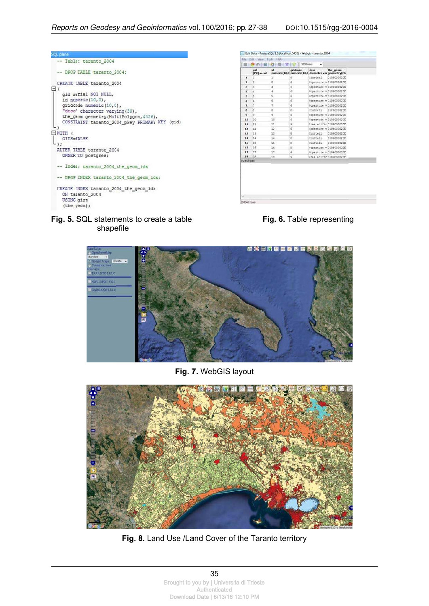| OL pane                                        |  |
|------------------------------------------------|--|
| -- Table: taranto 2004                         |  |
| -- DROP TABLE taranto 2004;                    |  |
| CREATE TABLE taranto 2004                      |  |
| 日(                                             |  |
| gid serial NOT NULL,                           |  |
| id numeric(10,0),                              |  |
| gridcode numeric(10,0),                        |  |
| "desc" character varying (30),                 |  |
| the_geom geometry (MultiPolygon, 4326),        |  |
| CONSTRAINT taranto 2004 pkey PRIMARY KEY (gid) |  |
|                                                |  |
| $-$ WITH (                                     |  |
| OIDS=FALSE                                     |  |
|                                                |  |
| ALTER TABLE taranto 2004                       |  |
| OWNER TO postgres;                             |  |
| -- Index: taranto 2004 the geom idx            |  |
| -- DROP INDEX taranto 2004 the geom idx;       |  |
| CREATE INDEX taranto 2004 the geom idx         |  |
| ON taranto 2004                                |  |
| USING gist                                     |  |
| (the geom);                                    |  |
|                                                |  |

|                      | aid<br>[PK] serial | <b>id</b> | gridcode | desc.           | the geom<br>numeric(10,0 numeric(10,0 character var geometry(Mr. |
|----------------------|--------------------|-----------|----------|-----------------|------------------------------------------------------------------|
| 1                    | ī.                 | í.        | ă.       | frutteti        | 0106000020E                                                      |
| $\overline{ }$       | $\overline{a}$     | ż         | £        |                 | Coperture w0106000020E                                           |
| 3                    | s                  | 3         | ġ.       |                 | Coperture v 0106000020E                                          |
| $\ddot{\phantom{a}}$ | ï                  | 4         | ö        |                 | Coperture v 0106000020E                                          |
| 5                    | s                  | 5         | é.       |                 | Coperture v.0106000020E                                          |
| 6                    | 6                  | é         | ë.       |                 | Coperture v 0106000020E                                          |
| $\overline{ }$       | T                  | Ŷ.        | è        |                 | Coperture v 0106000020E                                          |
| ä                    | ă                  | s         | ä.       | <b>Trutteti</b> | 0106000020E                                                      |
| 9                    | ä.                 | 9         | E        |                 | Coperture v 0106000020E                                          |
| 10                   | 10                 | 10        | ë        |                 | Conerture v 0104000020E                                          |
| 11                   | 11                 | 11        | ġ.       |                 | Aree edific 0106000020E                                          |
| 12                   | 12                 | $12^{-1}$ | 6        |                 | Coperture v 0106000020E                                          |
| 13                   | 13                 | 13        | ŧ.       | <b>Trutteti</b> | 0106000020E                                                      |
| 14                   | 14                 | 14        | ë        | Trutteti        | 0106000020E                                                      |
| 15                   | 15                 | 15        | ë        | frutteti        | 0106000020E                                                      |
| 16                   | 16                 | 16        | \$       |                 | Coperture v 0106000020E                                          |
| 17                   | 17                 | 17        | ė        |                 | Coperture v 0106000020E                                          |
| 18                   | 18                 | 38        | q.       |                 | Aree edificilinghoodof                                           |
| Scratch pad          |                    |           |          |                 |                                                                  |

#### **Fig. 5.** SQL statements to create a table shape file





**Fig. 7 .** WebGIS layout



Fig. 8. Land Use /Land Cover of the Taranto territory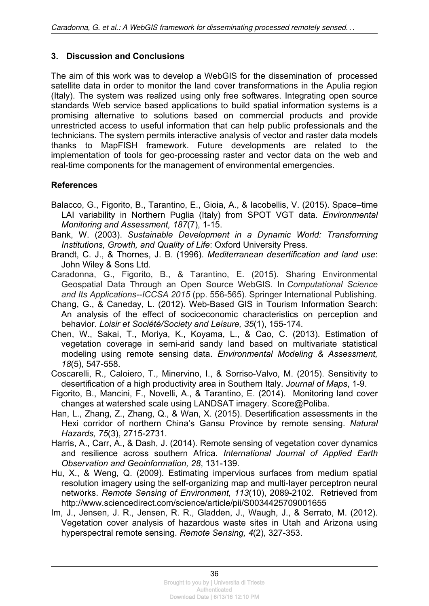### **3. Discussion and Conclusions**

The aim of this work was to develop a WebGIS for the dissemination of processed satellite data in order to monitor the land cover transformations in the Apulia region (Italy). The system was realized using only free softwares. Integrating open source standards Web service based applications to build spatial information systems is a promising alternative to solutions based on commercial products and provide unrestricted access to useful information that can help public professionals and the technicians. The system permits interactive analysis of vector and raster data models thanks to MapFISH framework. Future developments are related to the implementation of tools for geo-processing raster and vector data on the web and real-time components for the management of environmental emergencies.

#### **References**

- Balacco, G., Figorito, B., Tarantino, E., Gioia, A., & Iacobellis, V. (2015). Space–time LAI variability in Northern Puglia (Italy) from SPOT VGT data. *Environmental Monitoring and Assessment, 187*(7), 1-15.
- Bank, W. (2003). *Sustainable Development in a Dynamic World: Transforming Institutions, Growth, and Quality of Life*: Oxford University Press.
- Brandt, C. J., & Thornes, J. B. (1996). *Mediterranean desertification and land use*: John Wiley & Sons Ltd.

Caradonna, G., Figorito, B., & Tarantino, E. (2015). Sharing Environmental Geospatial Data Through an Open Source WebGIS. In *Computational Science and Its Applications--ICCSA 2015* (pp. 556-565). Springer International Publishing.

Chang, G., & Caneday, L. (2012). Web-Based GIS in Tourism Information Search: An analysis of the effect of socioeconomic characteristics on perception and behavior. *Loisir et Société/Society and Leisure, 35*(1), 155-174.

- Chen, W., Sakai, T., Moriya, K., Koyama, L., & Cao, C. (2013). Estimation of vegetation coverage in semi-arid sandy land based on multivariate statistical modeling using remote sensing data. *Environmental Modeling & Assessment, 18*(5), 547-558.
- Coscarelli, R., Caloiero, T., Minervino, I., & Sorriso-Valvo, M. (2015). Sensitivity to desertification of a high productivity area in Southern Italy. *Journal of Maps*, 1-9.
- Figorito, B., Mancini, F., Novelli, A., & Tarantino, E. (2014). Monitoring land cover changes at watershed scale using LANDSAT imagery. Score@Poliba.
- Han, L., Zhang, Z., Zhang, Q., & Wan, X. (2015). Desertification assessments in the Hexi corridor of northern China's Gansu Province by remote sensing. *Natural Hazards, 75*(3), 2715-2731.
- Harris, A., Carr, A., & Dash, J. (2014). Remote sensing of vegetation cover dynamics and resilience across southern Africa. *International Journal of Applied Earth Observation and Geoinformation, 28*, 131-139.
- Hu, X., & Weng, Q. (2009). Estimating impervious surfaces from medium spatial resolution imagery using the self-organizing map and multi-layer perceptron neural networks. *Remote Sensing of Environment, 113*(10), 2089-2102. Retrieved from http://www.sciencedirect.com/science/article/pii/S0034425709001655
- Im, J., Jensen, J. R., Jensen, R. R., Gladden, J., Waugh, J., & Serrato, M. (2012). Vegetation cover analysis of hazardous waste sites in Utah and Arizona using hyperspectral remote sensing. *Remote Sensing, 4*(2), 327-353.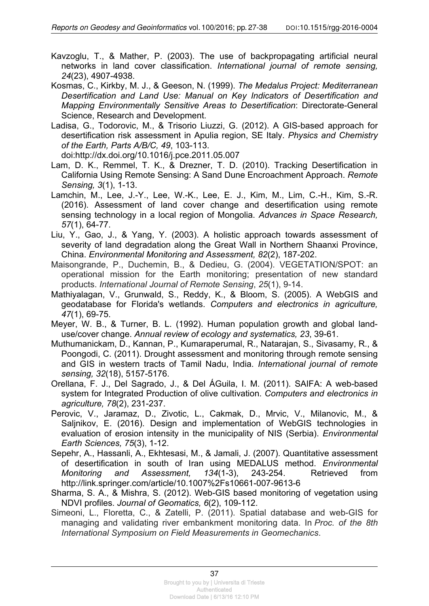Kavzoglu, T., & Mather, P. (2003). The use of backpropagating artificial neural networks in land cover classification. *International journal of remote sensing, 24*(23), 4907-4938.

Kosmas, C., Kirkby, M. J., & Geeson, N. (1999). *The Medalus Project: Mediterranean Desertification and Land Use: Manual on Key Indicators of Desertification and Mapping Environmentally Sensitive Areas to Desertification*: Directorate-General Science, Research and Development.

Ladisa, G., Todorovic, M., & Trisorio Liuzzi, G. (2012). A GIS-based approach for desertification risk assessment in Apulia region, SE Italy. *Physics and Chemistry of the Earth, Parts A/B/C, 49*, 103-113.

doi:http://dx.doi.org/10.1016/j.pce.2011.05.007

- Lam, D. K., Remmel, T. K., & Drezner, T. D. (2010). Tracking Desertification in California Using Remote Sensing: A Sand Dune Encroachment Approach. *Remote Sensing, 3*(1), 1-13.
- Lamchin, M., Lee, J.-Y., Lee, W.-K., Lee, E. J., Kim, M., Lim, C.-H., Kim, S.-R. (2016). Assessment of land cover change and desertification using remote sensing technology in a local region of Mongolia. *Advances in Space Research, 57*(1), 64-77.
- Liu, Y., Gao, J., & Yang, Y. (2003). A holistic approach towards assessment of severity of land degradation along the Great Wall in Northern Shaanxi Province, China. *Environmental Monitoring and Assessment, 82*(2), 187-202.
- Maisongrande, P., Duchemin, B., & Dedieu, G. (2004). VEGETATION/SPOT: an operational mission for the Earth monitoring; presentation of new standard products. *International Journal of Remote Sensing*, *25*(1), 9-14.
- Mathiyalagan, V., Grunwald, S., Reddy, K., & Bloom, S. (2005). A WebGIS and geodatabase for Florida's wetlands. *Computers and electronics in agriculture, 47*(1), 69-75.
- Meyer, W. B., & Turner, B. L. (1992). Human population growth and global landuse/cover change. *Annual review of ecology and systematics, 23*, 39-61.
- Muthumanickam, D., Kannan, P., Kumaraperumal, R., Natarajan, S., Sivasamy, R., & Poongodi, C. (2011). Drought assessment and monitoring through remote sensing and GIS in western tracts of Tamil Nadu, India. *International journal of remote sensing, 32*(18), 5157-5176.
- Orellana, F. J., Del Sagrado, J., & Del ÁGuila, I. M. (2011). SAIFA: A web-based system for Integrated Production of olive cultivation. *Computers and electronics in agriculture, 78*(2), 231-237.
- Perovic, V., Jaramaz, D., Zivotic, L., Cakmak, D., Mrvic, V., Milanovic, M., & Saljnikov, E. (2016). Design and implementation of WebGIS technologies in evaluation of erosion intensity in the municipality of NIS (Serbia). *Environmental Earth Sciences, 75*(3), 1-12.
- Sepehr, A., Hassanli, A., Ekhtesasi, M., & Jamali, J. (2007). Quantitative assessment of desertification in south of Iran using MEDALUS method. *Environmental Monitoring and Assessment, 134*(1-3), 243-254. Retrieved from http://link.springer.com/article/10.1007%2Fs10661-007-9613-6
- Sharma, S. A., & Mishra, S. (2012). Web-GIS based monitoring of vegetation using NDVI profiles. *Journal of Geomatics, 6*(2), 109-112.
- Simeoni, L., Floretta, C., & Zatelli, P. (2011). Spatial database and web-GIS for managing and validating river embankment monitoring data. In *Proc. of the 8th International Symposium on Field Measurements in Geomechanics*.